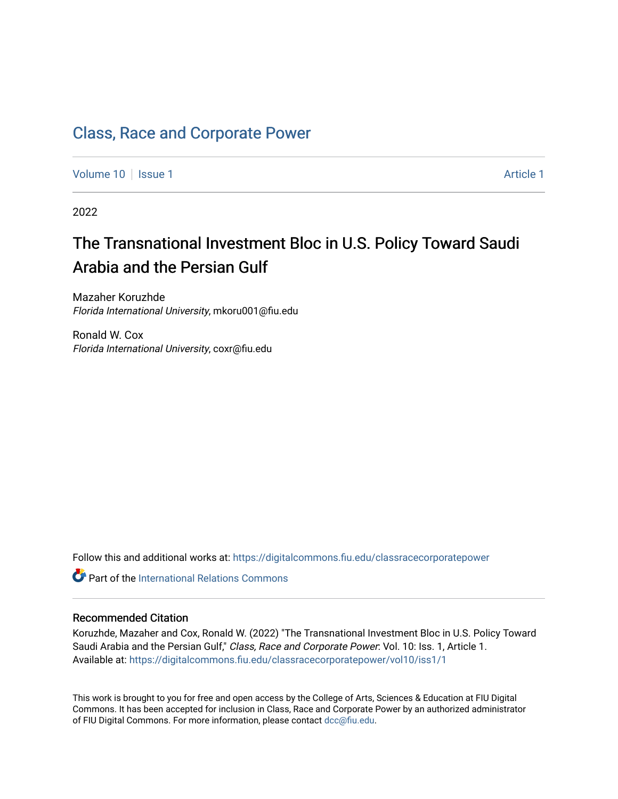## [Class, Race and Corporate Power](https://digitalcommons.fiu.edu/classracecorporatepower)

[Volume 10](https://digitalcommons.fiu.edu/classracecorporatepower/vol10) | [Issue 1](https://digitalcommons.fiu.edu/classracecorporatepower/vol10/iss1) Article 1

2022

# The Transnational Investment Bloc in U.S. Policy Toward Saudi Arabia and the Persian Gulf

Mazaher Koruzhde Florida International University, mkoru001@fiu.edu

Ronald W. Cox Florida International University, coxr@fiu.edu

Follow this and additional works at: [https://digitalcommons.fiu.edu/classracecorporatepower](https://digitalcommons.fiu.edu/classracecorporatepower?utm_source=digitalcommons.fiu.edu%2Fclassracecorporatepower%2Fvol10%2Fiss1%2F1&utm_medium=PDF&utm_campaign=PDFCoverPages)

**C** Part of the International Relations Commons

#### Recommended Citation

Koruzhde, Mazaher and Cox, Ronald W. (2022) "The Transnational Investment Bloc in U.S. Policy Toward Saudi Arabia and the Persian Gulf," Class, Race and Corporate Power: Vol. 10: Iss. 1, Article 1. Available at: [https://digitalcommons.fiu.edu/classracecorporatepower/vol10/iss1/1](https://digitalcommons.fiu.edu/classracecorporatepower/vol10/iss1/1?utm_source=digitalcommons.fiu.edu%2Fclassracecorporatepower%2Fvol10%2Fiss1%2F1&utm_medium=PDF&utm_campaign=PDFCoverPages) 

This work is brought to you for free and open access by the College of Arts, Sciences & Education at FIU Digital Commons. It has been accepted for inclusion in Class, Race and Corporate Power by an authorized administrator of FIU Digital Commons. For more information, please contact [dcc@fiu.edu](mailto:dcc@fiu.edu).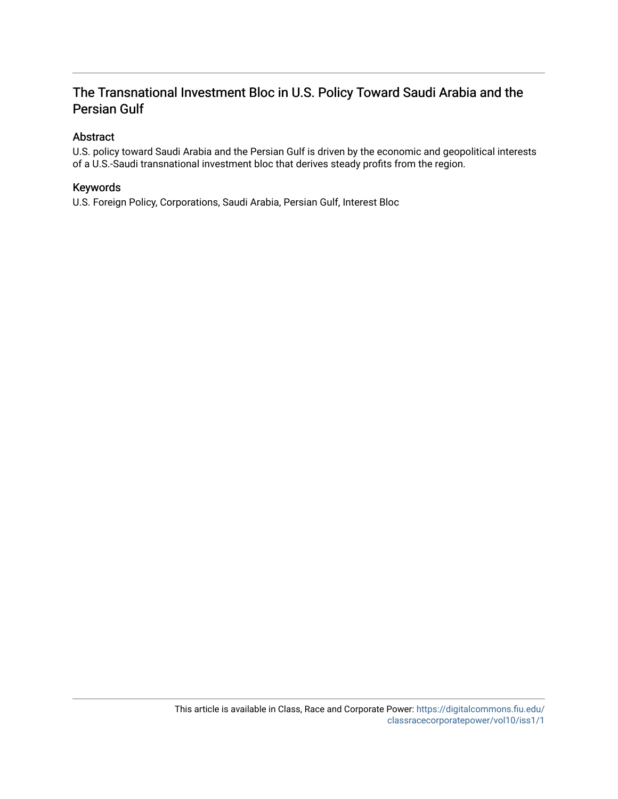### The Transnational Investment Bloc in U.S. Policy Toward Saudi Arabia and the Persian Gulf

#### Abstract

U.S. policy toward Saudi Arabia and the Persian Gulf is driven by the economic and geopolitical interests of a U.S.-Saudi transnational investment bloc that derives steady profits from the region.

#### Keywords

U.S. Foreign Policy, Corporations, Saudi Arabia, Persian Gulf, Interest Bloc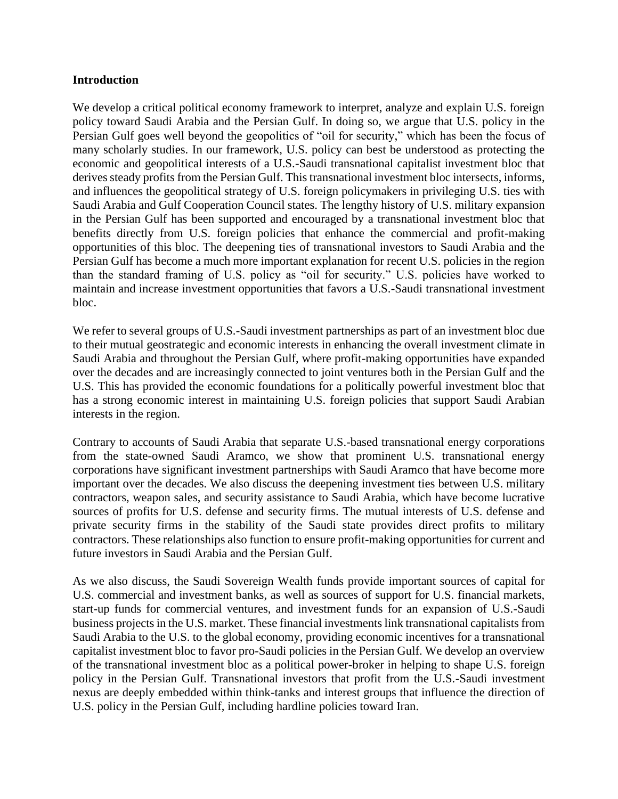#### **Introduction**

We develop a critical political economy framework to interpret, analyze and explain U.S. foreign policy toward Saudi Arabia and the Persian Gulf. In doing so, we argue that U.S. policy in the Persian Gulf goes well beyond the geopolitics of "oil for security," which has been the focus of many scholarly studies. In our framework, U.S. policy can best be understood as protecting the economic and geopolitical interests of a U.S.-Saudi transnational capitalist investment bloc that derives steady profits from the Persian Gulf. This transnational investment bloc intersects, informs, and influences the geopolitical strategy of U.S. foreign policymakers in privileging U.S. ties with Saudi Arabia and Gulf Cooperation Council states. The lengthy history of U.S. military expansion in the Persian Gulf has been supported and encouraged by a transnational investment bloc that benefits directly from U.S. foreign policies that enhance the commercial and profit-making opportunities of this bloc. The deepening ties of transnational investors to Saudi Arabia and the Persian Gulf has become a much more important explanation for recent U.S. policies in the region than the standard framing of U.S. policy as "oil for security." U.S. policies have worked to maintain and increase investment opportunities that favors a U.S.-Saudi transnational investment bloc.

We refer to several groups of U.S.-Saudi investment partnerships as part of an investment bloc due to their mutual geostrategic and economic interests in enhancing the overall investment climate in Saudi Arabia and throughout the Persian Gulf, where profit-making opportunities have expanded over the decades and are increasingly connected to joint ventures both in the Persian Gulf and the U.S. This has provided the economic foundations for a politically powerful investment bloc that has a strong economic interest in maintaining U.S. foreign policies that support Saudi Arabian interests in the region.

Contrary to accounts of Saudi Arabia that separate U.S.-based transnational energy corporations from the state-owned Saudi Aramco, we show that prominent U.S. transnational energy corporations have significant investment partnerships with Saudi Aramco that have become more important over the decades. We also discuss the deepening investment ties between U.S. military contractors, weapon sales, and security assistance to Saudi Arabia, which have become lucrative sources of profits for U.S. defense and security firms. The mutual interests of U.S. defense and private security firms in the stability of the Saudi state provides direct profits to military contractors. These relationships also function to ensure profit-making opportunities for current and future investors in Saudi Arabia and the Persian Gulf.

As we also discuss, the Saudi Sovereign Wealth funds provide important sources of capital for U.S. commercial and investment banks, as well as sources of support for U.S. financial markets, start-up funds for commercial ventures, and investment funds for an expansion of U.S.-Saudi business projects in the U.S. market. These financial investments link transnational capitalists from Saudi Arabia to the U.S. to the global economy, providing economic incentives for a transnational capitalist investment bloc to favor pro-Saudi policies in the Persian Gulf. We develop an overview of the transnational investment bloc as a political power-broker in helping to shape U.S. foreign policy in the Persian Gulf. Transnational investors that profit from the U.S.-Saudi investment nexus are deeply embedded within think-tanks and interest groups that influence the direction of U.S. policy in the Persian Gulf, including hardline policies toward Iran.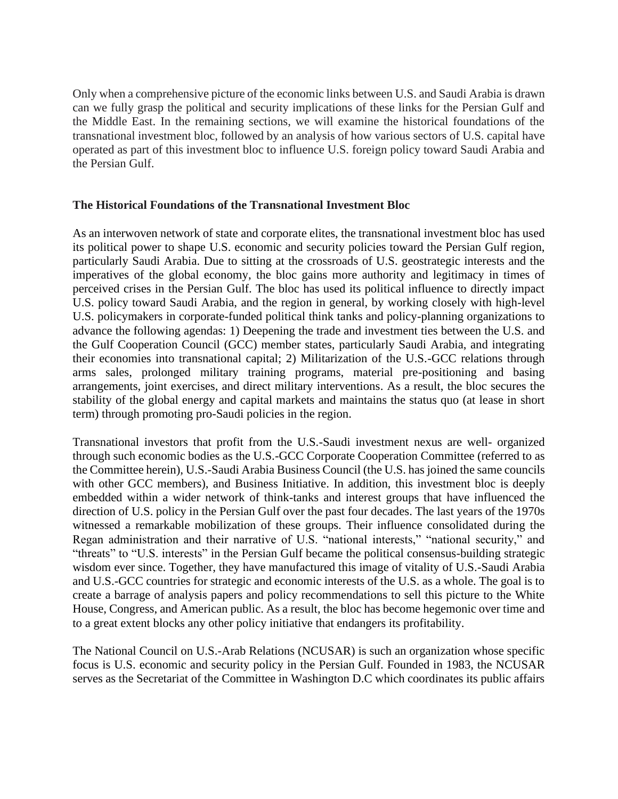Only when a comprehensive picture of the economic links between U.S. and Saudi Arabia is drawn can we fully grasp the political and security implications of these links for the Persian Gulf and the Middle East. In the remaining sections, we will examine the historical foundations of the transnational investment bloc, followed by an analysis of how various sectors of U.S. capital have operated as part of this investment bloc to influence U.S. foreign policy toward Saudi Arabia and the Persian Gulf.

#### **The Historical Foundations of the Transnational Investment Bloc**

As an interwoven network of state and corporate elites, the transnational investment bloc has used its political power to shape U.S. economic and security policies toward the Persian Gulf region, particularly Saudi Arabia. Due to sitting at the crossroads of U.S. geostrategic interests and the imperatives of the global economy, the bloc gains more authority and legitimacy in times of perceived crises in the Persian Gulf. The bloc has used its political influence to directly impact U.S. policy toward Saudi Arabia, and the region in general, by working closely with high-level U.S. policymakers in corporate-funded political think tanks and policy-planning organizations to advance the following agendas: 1) Deepening the trade and investment ties between the U.S. and the Gulf Cooperation Council (GCC) member states, particularly Saudi Arabia, and integrating their economies into transnational capital; 2) Militarization of the U.S.-GCC relations through arms sales, prolonged military training programs, material pre-positioning and basing arrangements, joint exercises, and direct military interventions. As a result, the bloc secures the stability of the global energy and capital markets and maintains the status quo (at lease in short term) through promoting pro-Saudi policies in the region.

Transnational investors that profit from the U.S.-Saudi investment nexus are well- organized through such economic bodies as the U.S.-GCC Corporate Cooperation Committee (referred to as the Committee herein), U.S.-Saudi Arabia Business Council (the U.S. has joined the same councils with other GCC members), and Business Initiative. In addition, this investment bloc is deeply embedded within a wider network of think-tanks and interest groups that have influenced the direction of U.S. policy in the Persian Gulf over the past four decades. The last years of the 1970s witnessed a remarkable mobilization of these groups. Their influence consolidated during the Regan administration and their narrative of U.S. "national interests," "national security," and "threats" to "U.S. interests" in the Persian Gulf became the political consensus-building strategic wisdom ever since. Together, they have manufactured this image of vitality of U.S.-Saudi Arabia and U.S.-GCC countries for strategic and economic interests of the U.S. as a whole. The goal is to create a barrage of analysis papers and policy recommendations to sell this picture to the White House, Congress, and American public. As a result, the bloc has become hegemonic over time and to a great extent blocks any other policy initiative that endangers its profitability.

The National Council on U.S.-Arab Relations (NCUSAR) is such an organization whose specific focus is U.S. economic and security policy in the Persian Gulf. Founded in 1983, the NCUSAR serves as the Secretariat of the Committee in Washington D.C which coordinates its public affairs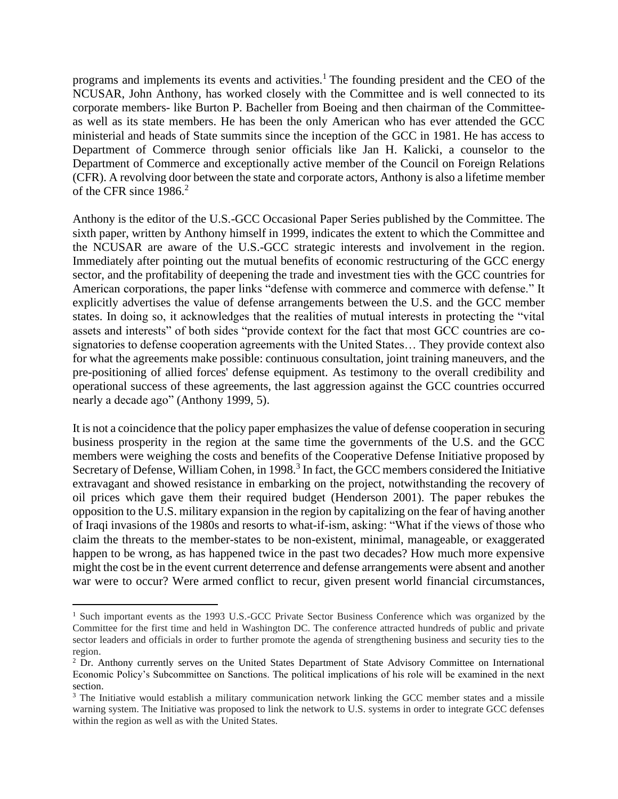programs and implements its events and activities.<sup>1</sup> The founding president and the CEO of the NCUSAR, John Anthony, has worked closely with the Committee and is well connected to its corporate members- like Burton P. Bacheller from Boeing and then chairman of the Committeeas well as its state members. He has been the only American who has ever attended the GCC ministerial and heads of State summits since the inception of the GCC in 1981. He has access to Department of Commerce through senior officials like Jan H. Kalicki, a counselor to the Department of Commerce and exceptionally active member of the Council on Foreign Relations (CFR). A revolving door between the state and corporate actors, Anthony is also a lifetime member of the CFR since 1986.<sup>2</sup>

Anthony is the editor of the U.S.-GCC Occasional Paper Series published by the Committee. The sixth paper, written by Anthony himself in 1999, indicates the extent to which the Committee and the NCUSAR are aware of the U.S.-GCC strategic interests and involvement in the region. Immediately after pointing out the mutual benefits of economic restructuring of the GCC energy sector, and the profitability of deepening the trade and investment ties with the GCC countries for American corporations, the paper links "defense with commerce and commerce with defense." It explicitly advertises the value of defense arrangements between the U.S. and the GCC member states. In doing so, it acknowledges that the realities of mutual interests in protecting the "vital assets and interests" of both sides "provide context for the fact that most GCC countries are cosignatories to defense cooperation agreements with the United States… They provide context also for what the agreements make possible: continuous consultation, joint training maneuvers, and the pre-positioning of allied forces' defense equipment. As testimony to the overall credibility and operational success of these agreements, the last aggression against the GCC countries occurred nearly a decade ago" (Anthony 1999, 5).

It is not a coincidence that the policy paper emphasizes the value of defense cooperation in securing business prosperity in the region at the same time the governments of the U.S. and the GCC members were weighing the costs and benefits of the Cooperative Defense Initiative proposed by Secretary of Defense, William Cohen, in 1998.<sup>3</sup> In fact, the GCC members considered the Initiative extravagant and showed resistance in embarking on the project, notwithstanding the recovery of oil prices which gave them their required budget (Henderson 2001). The paper rebukes the opposition to the U.S. military expansion in the region by capitalizing on the fear of having another of Iraqi invasions of the 1980s and resorts to what-if-ism, asking: "What if the views of those who claim the threats to the member-states to be non-existent, minimal, manageable, or exaggerated happen to be wrong, as has happened twice in the past two decades? How much more expensive might the cost be in the event current deterrence and defense arrangements were absent and another war were to occur? Were armed conflict to recur, given present world financial circumstances,

<sup>&</sup>lt;sup>1</sup> Such important events as the 1993 U.S.-GCC Private Sector Business Conference which was organized by the Committee for the first time and held in Washington DC. The conference attracted hundreds of public and private sector leaders and officials in order to further promote the agenda of strengthening business and security ties to the region.

<sup>&</sup>lt;sup>2</sup> Dr. Anthony currently serves on the United States Department of State Advisory Committee on International Economic Policy's Subcommittee on Sanctions. The political implications of his role will be examined in the next section.

<sup>&</sup>lt;sup>3</sup> The Initiative would establish a military communication network linking the GCC member states and a missile warning system. The Initiative was proposed to link the network to U.S. systems in order to integrate GCC defenses within the region as well as with the United States.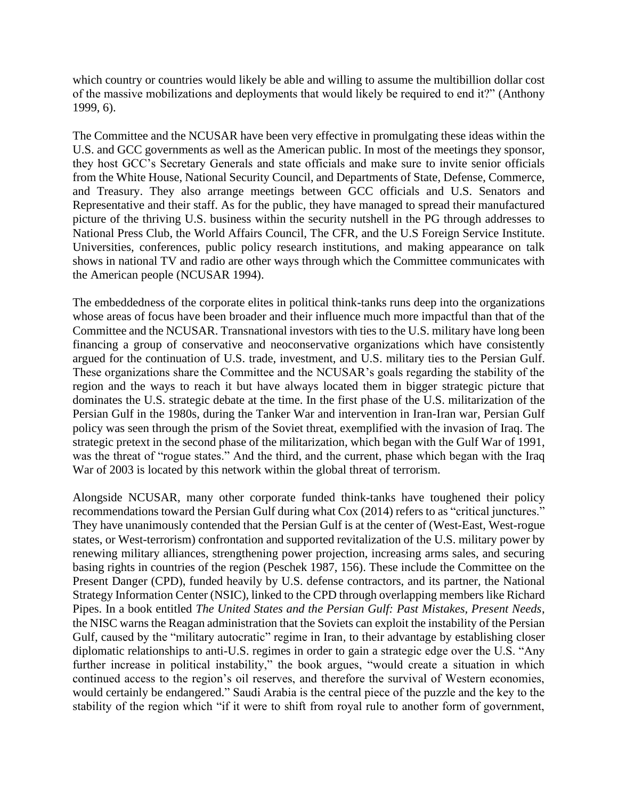which country or countries would likely be able and willing to assume the multibillion dollar cost of the massive mobilizations and deployments that would likely be required to end it?" (Anthony 1999, 6).

The Committee and the NCUSAR have been very effective in promulgating these ideas within the U.S. and GCC governments as well as the American public. In most of the meetings they sponsor, they host GCC's Secretary Generals and state officials and make sure to invite senior officials from the White House, National Security Council, and Departments of State, Defense, Commerce, and Treasury. They also arrange meetings between GCC officials and U.S. Senators and Representative and their staff. As for the public, they have managed to spread their manufactured picture of the thriving U.S. business within the security nutshell in the PG through addresses to National Press Club, the World Affairs Council, The CFR, and the U.S Foreign Service Institute. Universities, conferences, public policy research institutions, and making appearance on talk shows in national TV and radio are other ways through which the Committee communicates with the American people (NCUSAR 1994).

The embeddedness of the corporate elites in political think-tanks runs deep into the organizations whose areas of focus have been broader and their influence much more impactful than that of the Committee and the NCUSAR. Transnational investors with ties to the U.S. military have long been financing a group of conservative and neoconservative organizations which have consistently argued for the continuation of U.S. trade, investment, and U.S. military ties to the Persian Gulf. These organizations share the Committee and the NCUSAR's goals regarding the stability of the region and the ways to reach it but have always located them in bigger strategic picture that dominates the U.S. strategic debate at the time. In the first phase of the U.S. militarization of the Persian Gulf in the 1980s, during the Tanker War and intervention in Iran-Iran war, Persian Gulf policy was seen through the prism of the Soviet threat, exemplified with the invasion of Iraq. The strategic pretext in the second phase of the militarization, which began with the Gulf War of 1991, was the threat of "rogue states." And the third, and the current, phase which began with the Iraq War of 2003 is located by this network within the global threat of terrorism.

Alongside NCUSAR, many other corporate funded think-tanks have toughened their policy recommendations toward the Persian Gulf during what Cox (2014) refers to as "critical junctures." They have unanimously contended that the Persian Gulf is at the center of (West-East, West-rogue states, or West-terrorism) confrontation and supported revitalization of the U.S. military power by renewing military alliances, strengthening power projection, increasing arms sales, and securing basing rights in countries of the region (Peschek 1987, 156). These include the Committee on the Present Danger (CPD), funded heavily by U.S. defense contractors, and its partner, the National Strategy Information Center (NSIC), linked to the CPD through overlapping members like Richard Pipes. In a book entitled *The United States and the Persian Gulf: Past Mistakes, Present Needs*, the NISC warns the Reagan administration that the Soviets can exploit the instability of the Persian Gulf, caused by the "military autocratic" regime in Iran, to their advantage by establishing closer diplomatic relationships to anti-U.S. regimes in order to gain a strategic edge over the U.S. "Any further increase in political instability," the book argues, "would create a situation in which continued access to the region's oil reserves, and therefore the survival of Western economies, would certainly be endangered." Saudi Arabia is the central piece of the puzzle and the key to the stability of the region which "if it were to shift from royal rule to another form of government,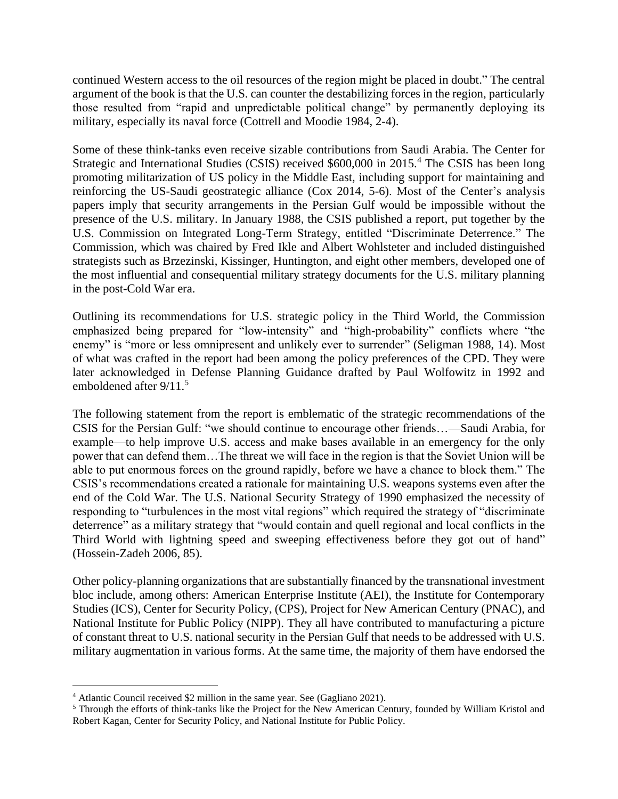continued Western access to the oil resources of the region might be placed in doubt." The central argument of the book is that the U.S. can counter the destabilizing forces in the region, particularly those resulted from "rapid and unpredictable political change" by permanently deploying its military, especially its naval force (Cottrell and Moodie 1984, 2-4).

Some of these think-tanks even receive sizable contributions from Saudi Arabia. The Center for Strategic and International Studies (CSIS) received \$600,000 in 2015.<sup>4</sup> The CSIS has been long promoting militarization of US policy in the Middle East, including support for maintaining and reinforcing the US-Saudi geostrategic alliance (Cox 2014, 5-6). Most of the Center's analysis papers imply that security arrangements in the Persian Gulf would be impossible without the presence of the U.S. military. In January 1988, the CSIS published a report, put together by the U.S. Commission on Integrated Long-Term Strategy, entitled "Discriminate Deterrence." The Commission, which was chaired by Fred Ikle and Albert Wohlsteter and included distinguished strategists such as Brzezinski, Kissinger, Huntington, and eight other members, developed one of the most influential and consequential military strategy documents for the U.S. military planning in the post-Cold War era.

Outlining its recommendations for U.S. strategic policy in the Third World, the Commission emphasized being prepared for "low-intensity" and "high-probability" conflicts where "the enemy" is "more or less omnipresent and unlikely ever to surrender" (Seligman 1988, 14). Most of what was crafted in the report had been among the policy preferences of the CPD. They were later acknowledged in Defense Planning Guidance drafted by Paul Wolfowitz in 1992 and emboldened after 9/11.<sup>5</sup>

The following statement from the report is emblematic of the strategic recommendations of the CSIS for the Persian Gulf: "we should continue to encourage other friends…—Saudi Arabia, for example—to help improve U.S. access and make bases available in an emergency for the only power that can defend them…The threat we will face in the region is that the Soviet Union will be able to put enormous forces on the ground rapidly, before we have a chance to block them." The CSIS's recommendations created a rationale for maintaining U.S. weapons systems even after the end of the Cold War. The U.S. National Security Strategy of 1990 emphasized the necessity of responding to "turbulences in the most vital regions" which required the strategy of "discriminate deterrence" as a military strategy that "would contain and quell regional and local conflicts in the Third World with lightning speed and sweeping effectiveness before they got out of hand" (Hossein-Zadeh 2006, 85).

Other policy-planning organizations that are substantially financed by the transnational investment bloc include, among others: American Enterprise Institute (AEI), the Institute for Contemporary Studies (ICS), Center for Security Policy, (CPS), Project for New American Century (PNAC), and National Institute for Public Policy (NIPP). They all have contributed to manufacturing a picture of constant threat to U.S. national security in the Persian Gulf that needs to be addressed with U.S. military augmentation in various forms. At the same time, the majority of them have endorsed the

<sup>4</sup> Atlantic Council received \$2 million in the same year. See (Gagliano 2021).

<sup>5</sup> Through the efforts of think-tanks like the Project for the New American Century, founded by William Kristol and Robert Kagan, Center for Security Policy, and National Institute for Public Policy.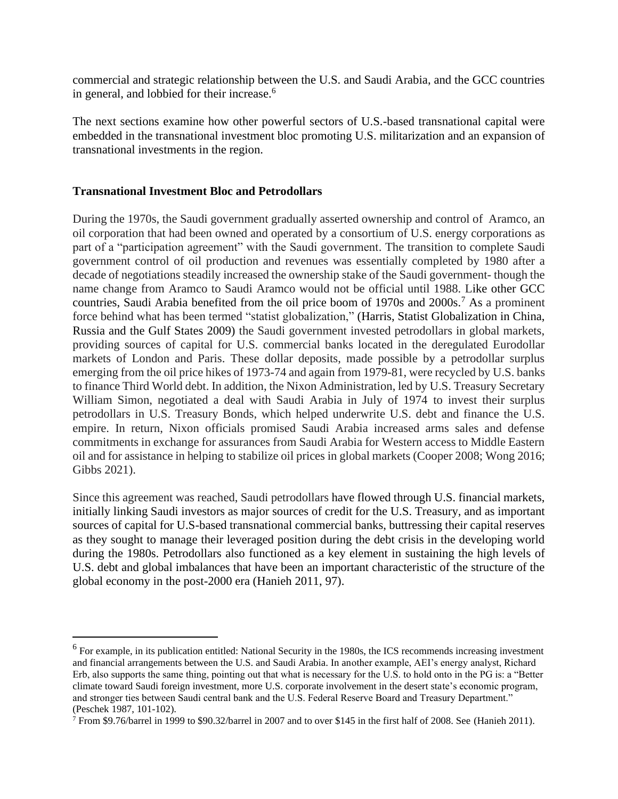commercial and strategic relationship between the U.S. and Saudi Arabia, and the GCC countries in general, and lobbied for their increase.<sup>6</sup>

The next sections examine how other powerful sectors of U.S.-based transnational capital were embedded in the transnational investment bloc promoting U.S. militarization and an expansion of transnational investments in the region.

#### **Transnational Investment Bloc and Petrodollars**

During the 1970s, the Saudi government gradually asserted ownership and control of Aramco, an oil corporation that had been owned and operated by a consortium of U.S. energy corporations as part of a "participation agreement" with the Saudi government. The transition to complete Saudi government control of oil production and revenues was essentially completed by 1980 after a decade of negotiations steadily increased the ownership stake of the Saudi government- though the name change from Aramco to Saudi Aramco would not be official until 1988. Like other GCC countries, Saudi Arabia benefited from the oil price boom of 1970s and 2000s.<sup>7</sup> As a prominent force behind what has been termed "statist globalization," (Harris, Statist Globalization in China, Russia and the Gulf States 2009) the Saudi government invested petrodollars in global markets, providing sources of capital for U.S. commercial banks located in the deregulated Eurodollar markets of London and Paris. These dollar deposits, made possible by a petrodollar surplus emerging from the oil price hikes of 1973-74 and again from 1979-81, were recycled by U.S. banks to finance Third World debt. In addition, the Nixon Administration, led by U.S. Treasury Secretary William Simon, negotiated a deal with Saudi Arabia in July of 1974 to invest their surplus petrodollars in U.S. Treasury Bonds, which helped underwrite U.S. debt and finance the U.S. empire. In return, Nixon officials promised Saudi Arabia increased arms sales and defense commitments in exchange for assurances from Saudi Arabia for Western access to Middle Eastern oil and for assistance in helping to stabilize oil prices in global markets (Cooper 2008; Wong 2016; Gibbs 2021).

Since this agreement was reached, Saudi petrodollars have flowed through U.S. financial markets, initially linking Saudi investors as major sources of credit for the U.S. Treasury, and as important sources of capital for U.S-based transnational commercial banks, buttressing their capital reserves as they sought to manage their leveraged position during the debt crisis in the developing world during the 1980s. Petrodollars also functioned as a key element in sustaining the high levels of U.S. debt and global imbalances that have been an important characteristic of the structure of the global economy in the post-2000 era (Hanieh 2011, 97).

<sup>&</sup>lt;sup>6</sup> For example, in its publication entitled: National Security in the 1980s, the ICS recommends increasing investment and financial arrangements between the U.S. and Saudi Arabia. In another example, AEI's energy analyst, Richard Erb, also supports the same thing, pointing out that what is necessary for the U.S. to hold onto in the PG is: a "Better climate toward Saudi foreign investment, more U.S. corporate involvement in the desert state's economic program, and stronger ties between Saudi central bank and the U.S. Federal Reserve Board and Treasury Department." (Peschek 1987, 101-102).

 $7$  From \$9.76/barrel in 1999 to \$90.32/barrel in 2007 and to over \$145 in the first half of 2008. See (Hanieh 2011).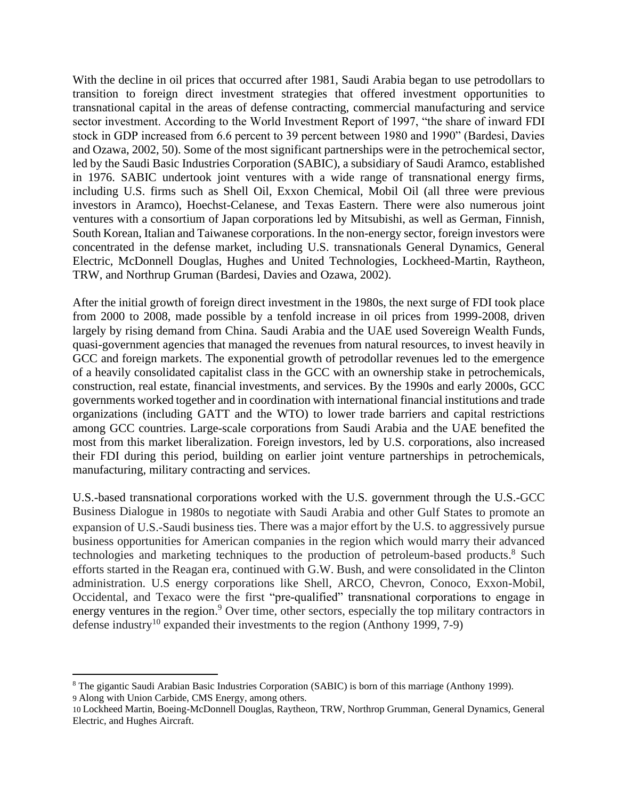With the decline in oil prices that occurred after 1981, Saudi Arabia began to use petrodollars to transition to foreign direct investment strategies that offered investment opportunities to transnational capital in the areas of defense contracting, commercial manufacturing and service sector investment. According to the World Investment Report of 1997, "the share of inward FDI stock in GDP increased from 6.6 percent to 39 percent between 1980 and 1990" (Bardesi, Davies and Ozawa, 2002, 50). Some of the most significant partnerships were in the petrochemical sector, led by the Saudi Basic Industries Corporation (SABIC), a subsidiary of Saudi Aramco, established in 1976. SABIC undertook joint ventures with a wide range of transnational energy firms, including U.S. firms such as Shell Oil, Exxon Chemical, Mobil Oil (all three were previous investors in Aramco), Hoechst-Celanese, and Texas Eastern. There were also numerous joint ventures with a consortium of Japan corporations led by Mitsubishi, as well as German, Finnish, South Korean, Italian and Taiwanese corporations. In the non-energy sector, foreign investors were concentrated in the defense market, including U.S. transnationals General Dynamics, General Electric, McDonnell Douglas, Hughes and United Technologies, Lockheed-Martin, Raytheon, TRW, and Northrup Gruman (Bardesi, Davies and Ozawa, 2002).

After the initial growth of foreign direct investment in the 1980s, the next surge of FDI took place from 2000 to 2008, made possible by a tenfold increase in oil prices from 1999-2008, driven largely by rising demand from China. Saudi Arabia and the UAE used Sovereign Wealth Funds, quasi-government agencies that managed the revenues from natural resources, to invest heavily in GCC and foreign markets. The exponential growth of petrodollar revenues led to the emergence of a heavily consolidated capitalist class in the GCC with an ownership stake in petrochemicals, construction, real estate, financial investments, and services. By the 1990s and early 2000s, GCC governments worked together and in coordination with international financial institutions and trade organizations (including GATT and the WTO) to lower trade barriers and capital restrictions among GCC countries. Large-scale corporations from Saudi Arabia and the UAE benefited the most from this market liberalization. Foreign investors, led by U.S. corporations, also increased their FDI during this period, building on earlier joint venture partnerships in petrochemicals, manufacturing, military contracting and services.

U.S.-based transnational corporations worked with the U.S. government through the U.S.-GCC Business Dialogue in 1980s to negotiate with Saudi Arabia and other Gulf States to promote an expansion of U.S.-Saudi business ties. There was a major effort by the U.S. to aggressively pursue business opportunities for American companies in the region which would marry their advanced technologies and marketing techniques to the production of petroleum-based products. <sup>8</sup> Such efforts started in the Reagan era, continued with G.W. Bush, and were consolidated in the Clinton administration. U.S energy corporations like Shell, ARCO, Chevron, Conoco, Exxon-Mobil, Occidental, and Texaco were the first "pre-qualified" transnational corporations to engage in energy ventures in the region.<sup>9</sup> Over time, other sectors, especially the top military contractors in defense industry<sup>10</sup> expanded their investments to the region (Anthony 1999, 7-9)

<sup>8</sup> The gigantic Saudi Arabian Basic Industries Corporation (SABIC) is born of this marriage (Anthony 1999). 9 Along with Union Carbide, CMS Energy, among others.

<sup>10</sup> Lockheed Martin, Boeing-McDonnell Douglas, Raytheon, TRW, Northrop Grumman, General Dynamics, General Electric, and Hughes Aircraft.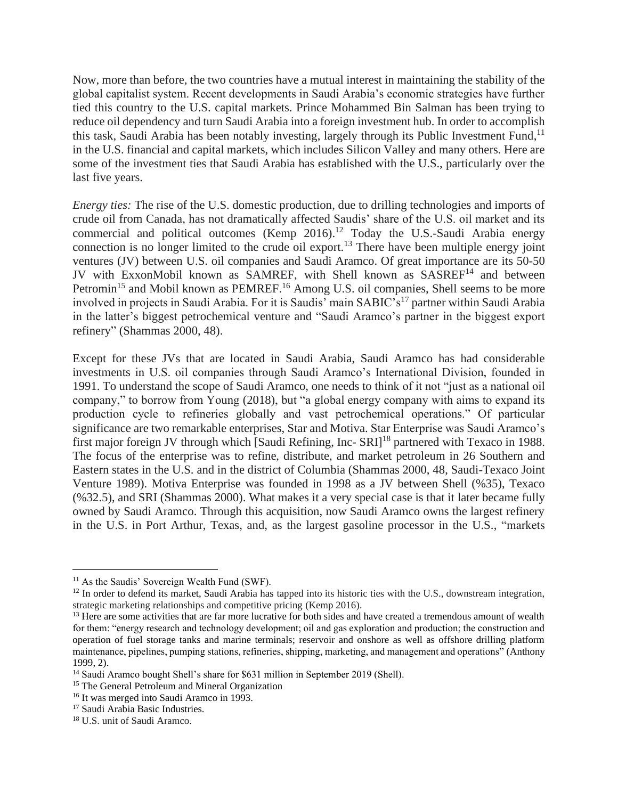Now, more than before, the two countries have a mutual interest in maintaining the stability of the global capitalist system. Recent developments in Saudi Arabia's economic strategies have further tied this country to the U.S. capital markets. Prince Mohammed Bin Salman has been trying to reduce oil dependency and turn Saudi Arabia into a foreign investment hub. In order to accomplish this task, Saudi Arabia has been notably investing, largely through its Public Investment Fund, <sup>11</sup> in the U.S. financial and capital markets, which includes Silicon Valley and many others. Here are some of the investment ties that Saudi Arabia has established with the U.S., particularly over the last five years.

*Energy ties:* The rise of the U.S. domestic production, due to drilling technologies and imports of crude oil from Canada, has not dramatically affected Saudis' share of the U.S. oil market and its commercial and political outcomes (Kemp  $2016$ ).<sup>12</sup> Today the U.S.-Saudi Arabia energy connection is no longer limited to the crude oil export.<sup>13</sup> There have been multiple energy joint ventures (JV) between U.S. oil companies and Saudi Aramco. Of great importance are its 50-50 JV with ExxonMobil known as SAMREF, with Shell known as SASREF<sup>14</sup> and between Petromin<sup>15</sup> and Mobil known as PEMREF.<sup>16</sup> Among U.S. oil companies, Shell seems to be more involved in projects in Saudi Arabia. For it is Saudis' main SABIC's<sup>17</sup> partner within Saudi Arabia in the latter's biggest petrochemical venture and "Saudi Aramco's partner in the biggest export refinery" (Shammas 2000, 48).

Except for these JVs that are located in Saudi Arabia, Saudi Aramco has had considerable investments in U.S. oil companies through Saudi Aramco's International Division, founded in 1991. To understand the scope of Saudi Aramco, one needs to think of it not "just as a national oil company," to borrow from Young (2018), but "a global energy company with aims to expand its production cycle to refineries globally and vast petrochemical operations." Of particular significance are two remarkable enterprises, Star and Motiva. Star Enterprise was Saudi Aramco's first major foreign JV through which [Saudi Refining, Inc- SRI]<sup>18</sup> partnered with Texaco in 1988. The focus of the enterprise was to refine, distribute, and market petroleum in 26 Southern and Eastern states in the U.S. and in the district of Columbia (Shammas 2000, 48, Saudi-Texaco Joint Venture 1989). Motiva Enterprise was founded in 1998 as a JV between Shell (%35), Texaco (%32.5), and SRI (Shammas 2000). What makes it a very special case is that it later became fully owned by Saudi Aramco. Through this acquisition, now Saudi Aramco owns the largest refinery in the U.S. in Port Arthur, Texas, and, as the largest gasoline processor in the U.S., "markets

<sup>&</sup>lt;sup>11</sup> As the Saudis' Sovereign Wealth Fund (SWF).

 $12$  In order to defend its market, Saudi Arabia has tapped into its historic ties with the U.S., downstream integration, strategic marketing relationships and competitive pricing (Kemp 2016).

<sup>&</sup>lt;sup>13</sup> Here are some activities that are far more lucrative for both sides and have created a tremendous amount of wealth for them: "energy research and technology development; oil and gas exploration and production; the construction and operation of fuel storage tanks and marine terminals; reservoir and onshore as well as offshore drilling platform maintenance, pipelines, pumping stations, refineries, shipping, marketing, and management and operations" (Anthony 1999, 2).

<sup>&</sup>lt;sup>14</sup> Saudi Aramco bought Shell's share for \$631 million in September 2019 (Shell).

<sup>&</sup>lt;sup>15</sup> The General Petroleum and Mineral Organization

<sup>&</sup>lt;sup>16</sup> It was merged into Saudi Aramco in 1993.

<sup>&</sup>lt;sup>17</sup> Saudi Arabia Basic Industries.

<sup>18</sup> U.S. unit of Saudi Aramco.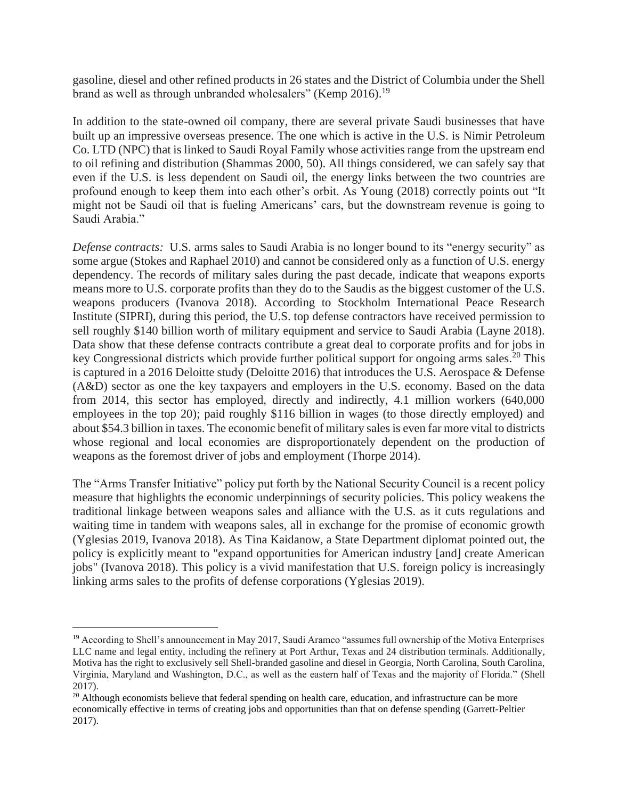gasoline, diesel and other refined products in 26 states and the District of Columbia under the Shell brand as well as through unbranded wholesalers" (Kemp 2016).<sup>19</sup>

In addition to the state-owned oil company, there are several private Saudi businesses that have built up an impressive overseas presence. The one which is active in the U.S. is Nimir Petroleum Co. LTD (NPC) that is linked to Saudi Royal Family whose activities range from the upstream end to oil refining and distribution (Shammas 2000, 50). All things considered, we can safely say that even if the U.S. is less dependent on Saudi oil, the energy links between the two countries are profound enough to keep them into each other's orbit. As Young (2018) correctly points out "It might not be Saudi oil that is fueling Americans' cars, but the downstream revenue is going to Saudi Arabia."

*Defense contracts:* U.S. arms sales to Saudi Arabia is no longer bound to its "energy security" as some argue (Stokes and Raphael 2010) and cannot be considered only as a function of U.S. energy dependency. The records of military sales during the past decade, indicate that weapons exports means more to U.S. corporate profits than they do to the Saudis as the biggest customer of the U.S. weapons producers (Ivanova 2018). According to Stockholm International Peace Research Institute (SIPRI), during this period, the U.S. top defense contractors have received permission to sell roughly \$140 billion worth of military equipment and service to Saudi Arabia (Layne 2018). Data show that these defense contracts contribute a great deal to corporate profits and for jobs in key Congressional districts which provide further political support for ongoing arms sales.<sup>20</sup> This is captured in a 2016 Deloitte study (Deloitte 2016) that introduces the U.S. Aerospace & Defense (A&D) sector as one the key taxpayers and employers in the U.S. economy. Based on the data from 2014, this sector has employed, directly and indirectly, 4.1 million workers (640,000 employees in the top 20); paid roughly \$116 billion in wages (to those directly employed) and about \$54.3 billion in taxes. The economic benefit of military sales is even far more vital to districts whose regional and local economies are disproportionately dependent on the production of weapons as the foremost driver of jobs and employment (Thorpe 2014).

The "Arms Transfer Initiative" policy put forth by the National Security Council is a recent policy measure that highlights the economic underpinnings of security policies. This policy weakens the traditional linkage between weapons sales and alliance with the U.S. as it cuts regulations and waiting time in tandem with weapons sales, all in exchange for the promise of economic growth (Yglesias 2019, Ivanova 2018). As Tina Kaidanow, a State Department diplomat pointed out, the policy is explicitly meant to "expand opportunities for American industry [and] create American jobs" (Ivanova 2018). This policy is a vivid manifestation that U.S. foreign policy is increasingly linking arms sales to the profits of defense corporations (Yglesias 2019).

<sup>&</sup>lt;sup>19</sup> According to Shell's announcement in May 2017, Saudi Aramco "assumes full ownership of the Motiva Enterprises LLC name and legal entity, including the refinery at Port Arthur, Texas and 24 distribution terminals. Additionally, Motiva has the right to exclusively sell Shell-branded gasoline and diesel in Georgia, North Carolina, South Carolina, Virginia, Maryland and Washington, D.C., as well as the eastern half of Texas and the majority of Florida." (Shell 2017).

<sup>&</sup>lt;sup>20</sup> Although economists believe that federal spending on health care, education, and infrastructure can be more economically effective in terms of creating jobs and opportunities than that on defense spending (Garrett-Peltier 2017).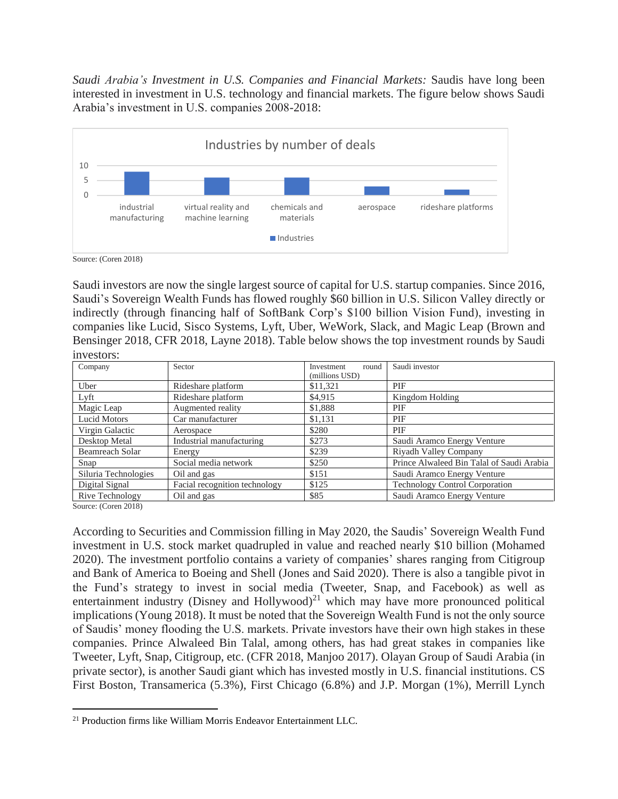*Saudi Arabia's Investment in U.S. Companies and Financial Markets:* Saudis have long been interested in investment in U.S. technology and financial markets. The figure below shows Saudi Arabia's investment in U.S. companies 2008-2018:



Source: (Coren 2018)

Saudi investors are now the single largest source of capital for U.S. startup companies. Since 2016, Saudi's Sovereign Wealth Funds has flowed roughly \$60 billion in U.S. Silicon Valley directly or indirectly (through financing half of SoftBank Corp's \$100 billion Vision Fund), investing in companies like Lucid, Sisco Systems, Lyft, Uber, WeWork, Slack, and Magic Leap (Brown and Bensinger 2018, CFR 2018, Layne 2018). Table below shows the top investment rounds by Saudi investors:

| Company                | Sector                        | Investment<br>round | Saudi investor                            |
|------------------------|-------------------------------|---------------------|-------------------------------------------|
|                        |                               | (millions USD)      |                                           |
| Uber                   | Rideshare platform            | \$11,321            | PIF                                       |
| Lyft                   | Rideshare platform            | \$4,915             | Kingdom Holding                           |
| Magic Leap             | Augmented reality             | \$1,888             | PIF                                       |
| <b>Lucid Motors</b>    | Car manufacturer              | \$1,131             | PIF                                       |
| Virgin Galactic        | Aerospace                     | \$280               | PIF                                       |
| Desktop Metal          | Industrial manufacturing      | \$273               | Saudi Aramco Energy Venture               |
| <b>Beamreach Solar</b> | Energy                        | \$239               | Riyadh Valley Company                     |
| Snap                   | Social media network          | \$250               | Prince Alwaleed Bin Talal of Saudi Arabia |
| Siluria Technologies   | Oil and gas                   | \$151               | Saudi Aramco Energy Venture               |
| Digital Signal         | Facial recognition technology | \$125               | <b>Technology Control Corporation</b>     |
| Rive Technology        | Oil and gas                   | \$85                | Saudi Aramco Energy Venture               |

Source: (Coren 2018)

According to Securities and Commission filling in May 2020, the Saudis' Sovereign Wealth Fund investment in U.S. stock market quadrupled in value and reached nearly \$10 billion (Mohamed 2020). The investment portfolio contains a variety of companies' shares ranging from Citigroup and Bank of America to Boeing and Shell (Jones and Said 2020). There is also a tangible pivot in the Fund's strategy to invest in social media (Tweeter, Snap, and Facebook) as well as entertainment industry (Disney and Hollywood) $^{21}$  which may have more pronounced political implications (Young 2018). It must be noted that the Sovereign Wealth Fund is not the only source of Saudis' money flooding the U.S. markets. Private investors have their own high stakes in these companies. Prince Alwaleed Bin Talal, among others, has had great stakes in companies like Tweeter, Lyft, Snap, Citigroup, etc. (CFR 2018, Manjoo 2017). Olayan Group of Saudi Arabia (in private sector), is another Saudi giant which has invested mostly in U.S. financial institutions. CS First Boston, Transamerica (5.3%), First Chicago (6.8%) and J.P. Morgan (1%), Merrill Lynch

<sup>21</sup> Production firms like William Morris Endeavor Entertainment LLC.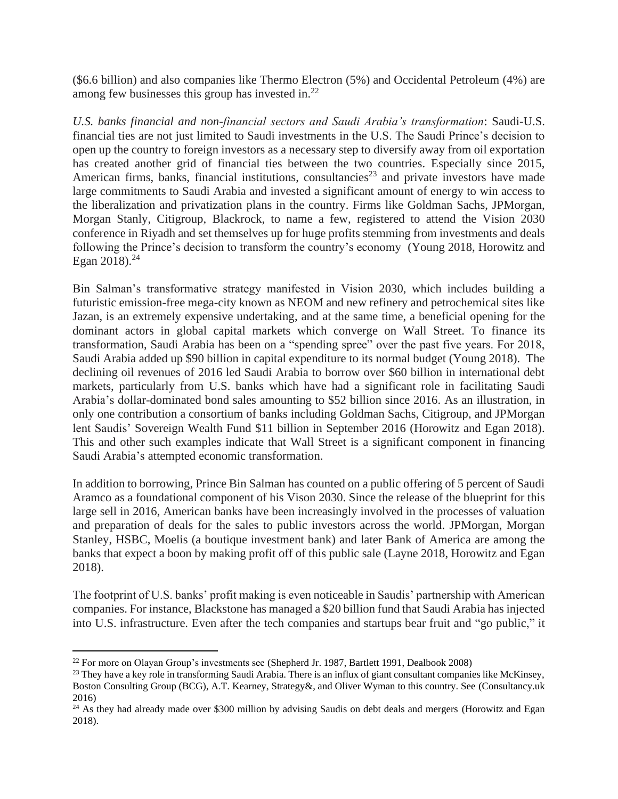(\$6.6 billion) and also companies like Thermo Electron (5%) and Occidental Petroleum (4%) are among few businesses this group has invested in.<sup>22</sup>

*U.S. banks financial and non-financial sectors and Saudi Arabia's transformation*: Saudi-U.S. financial ties are not just limited to Saudi investments in the U.S. The Saudi Prince's decision to open up the country to foreign investors as a necessary step to diversify away from oil exportation has created another grid of financial ties between the two countries. Especially since 2015, American firms, banks, financial institutions, consultancies<sup>23</sup> and private investors have made large commitments to Saudi Arabia and invested a significant amount of energy to win access to the liberalization and privatization plans in the country. Firms like Goldman Sachs, JPMorgan, Morgan Stanly, Citigroup, Blackrock, to name a few, registered to attend the Vision 2030 conference in Riyadh and set themselves up for huge profits stemming from investments and deals following the Prince's decision to transform the country's economy (Young 2018, Horowitz and Egan 2018). 24

Bin Salman's transformative strategy manifested in Vision 2030, which includes building a futuristic emission-free mega-city known as NEOM and new refinery and petrochemical sites like Jazan, is an extremely expensive undertaking, and at the same time, a beneficial opening for the dominant actors in global capital markets which converge on Wall Street. To finance its transformation, Saudi Arabia has been on a "spending spree" over the past five years. For 2018, Saudi Arabia added up \$90 billion in capital expenditure to its normal budget (Young 2018). The declining oil revenues of 2016 led Saudi Arabia to borrow over \$60 billion in international debt markets, particularly from U.S. banks which have had a significant role in facilitating Saudi Arabia's dollar-dominated bond sales amounting to \$52 billion since 2016. As an illustration, in only one contribution a consortium of banks including Goldman Sachs, Citigroup, and JPMorgan lent Saudis' Sovereign Wealth Fund \$11 billion in September 2016 (Horowitz and Egan 2018). This and other such examples indicate that Wall Street is a significant component in financing Saudi Arabia's attempted economic transformation.

In addition to borrowing, Prince Bin Salman has counted on a public offering of 5 percent of Saudi Aramco as a foundational component of his Vison 2030. Since the release of the blueprint for this large sell in 2016, American banks have been increasingly involved in the processes of valuation and preparation of deals for the sales to public investors across the world. JPMorgan, Morgan Stanley, HSBC, Moelis (a boutique investment bank) and later Bank of America are among the banks that expect a boon by making profit off of this public sale (Layne 2018, Horowitz and Egan 2018).

The footprint of U.S. banks' profit making is even noticeable in Saudis' partnership with American companies. For instance, Blackstone has managed a \$20 billion fund that Saudi Arabia has injected into U.S. infrastructure. Even after the tech companies and startups bear fruit and "go public," it

<sup>&</sup>lt;sup>22</sup> For more on Olayan Group's investments see (Shepherd Jr. 1987, Bartlett 1991, Dealbook 2008)

<sup>&</sup>lt;sup>23</sup> They have a key role in transforming Saudi Arabia. There is an influx of giant consultant companies like McKinsey, Boston Consulting Group (BCG), A.T. Kearney, Strategy&, and Oliver Wyman to this country. See (Consultancy.uk 2016)

<sup>&</sup>lt;sup>24</sup> As they had already made over \$300 million by advising Saudis on debt deals and mergers (Horowitz and Egan 2018).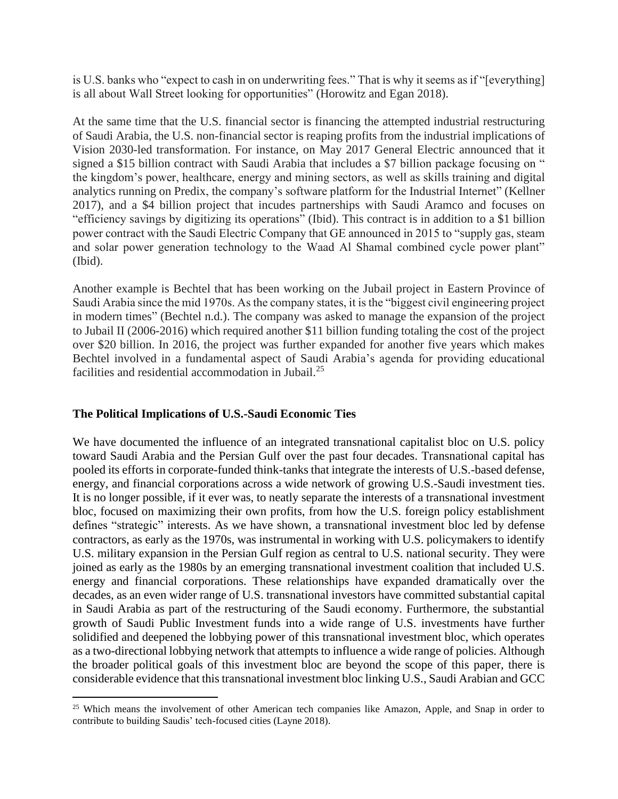is U.S. banks who "expect to cash in on underwriting fees." That is why it seems as if "[everything] is all about Wall Street looking for opportunities" (Horowitz and Egan 2018).

At the same time that the U.S. financial sector is financing the attempted industrial restructuring of Saudi Arabia, the U.S. non-financial sector is reaping profits from the industrial implications of Vision 2030-led transformation. For instance, on May 2017 General Electric announced that it signed a \$15 billion contract with Saudi Arabia that includes a \$7 billion package focusing on " the kingdom's power, healthcare, energy and mining sectors, as well as skills training and [digital](https://www.ge.com/news/reports/15698-2/)  [analytics running on Predix,](https://www.ge.com/news/reports/15698-2/) the company's software platform for the Industrial Internet" (Kellner 2017), and a \$4 billion project that incudes partnerships with Saudi Aramco and focuses on "efficiency savings by digitizing its operations" (Ibid). This contract is in addition to a \$1 billion power contract with the Saudi Electric Company that GE announced in 2015 to "supply gas, steam and solar power generation technology to the Waad Al Shamal combined cycle power plant" (Ibid).

Another example is Bechtel that has been working on the Jubail project in Eastern Province of Saudi Arabia since the mid 1970s. As the company states, it is the "biggest civil engineering project in modern times" (Bechtel n.d.). The company was asked to manage the expansion of the project to Jubail II (2006-2016) which required another \$11 billion funding totaling the cost of the project over \$20 billion. In 2016, the project was further expanded for another five years which makes Bechtel involved in a fundamental aspect of Saudi Arabia's agenda for providing educational facilities and residential accommodation in Jubail.<sup>25</sup>

#### **The Political Implications of U.S.-Saudi Economic Ties**

We have documented the influence of an integrated transnational capitalist bloc on U.S. policy toward Saudi Arabia and the Persian Gulf over the past four decades. Transnational capital has pooled its efforts in corporate-funded think-tanks that integrate the interests of U.S.-based defense, energy, and financial corporations across a wide network of growing U.S.-Saudi investment ties. It is no longer possible, if it ever was, to neatly separate the interests of a transnational investment bloc, focused on maximizing their own profits, from how the U.S. foreign policy establishment defines "strategic" interests. As we have shown, a transnational investment bloc led by defense contractors, as early as the 1970s, was instrumental in working with U.S. policymakers to identify U.S. military expansion in the Persian Gulf region as central to U.S. national security. They were joined as early as the 1980s by an emerging transnational investment coalition that included U.S. energy and financial corporations. These relationships have expanded dramatically over the decades, as an even wider range of U.S. transnational investors have committed substantial capital in Saudi Arabia as part of the restructuring of the Saudi economy. Furthermore, the substantial growth of Saudi Public Investment funds into a wide range of U.S. investments have further solidified and deepened the lobbying power of this transnational investment bloc, which operates as a two-directional lobbying network that attempts to influence a wide range of policies. Although the broader political goals of this investment bloc are beyond the scope of this paper, there is considerable evidence that this transnational investment bloc linking U.S., Saudi Arabian and GCC

<sup>&</sup>lt;sup>25</sup> Which means the involvement of other American tech companies like Amazon, Apple, and Snap in order to contribute to building Saudis' tech-focused cities (Layne 2018).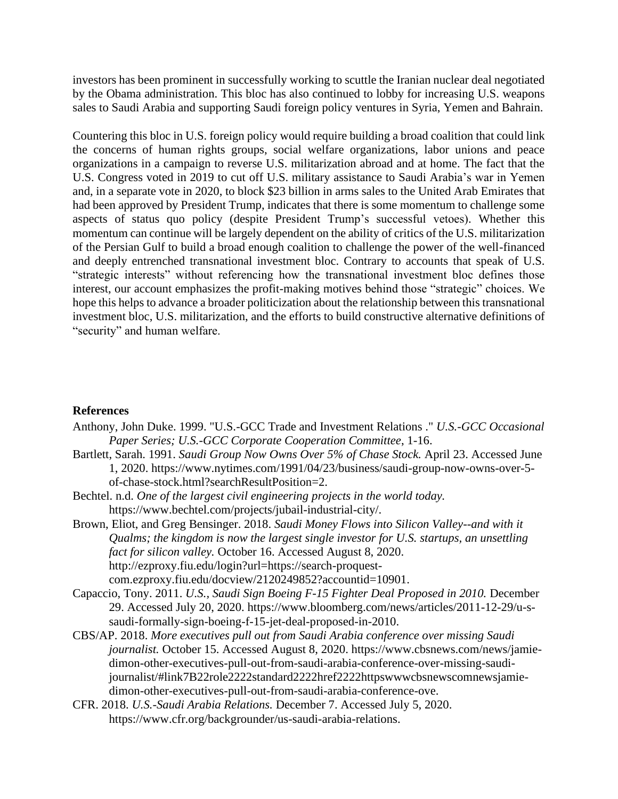investors has been prominent in successfully working to scuttle the Iranian nuclear deal negotiated by the Obama administration. This bloc has also continued to lobby for increasing U.S. weapons sales to Saudi Arabia and supporting Saudi foreign policy ventures in Syria, Yemen and Bahrain.

Countering this bloc in U.S. foreign policy would require building a broad coalition that could link the concerns of human rights groups, social welfare organizations, labor unions and peace organizations in a campaign to reverse U.S. militarization abroad and at home. The fact that the U.S. Congress voted in 2019 to cut off U.S. military assistance to Saudi Arabia's war in Yemen and, in a separate vote in 2020, to block \$23 billion in arms sales to the United Arab Emirates that had been approved by President Trump, indicates that there is some momentum to challenge some aspects of status quo policy (despite President Trump's successful vetoes). Whether this momentum can continue will be largely dependent on the ability of critics of the U.S. militarization of the Persian Gulf to build a broad enough coalition to challenge the power of the well-financed and deeply entrenched transnational investment bloc. Contrary to accounts that speak of U.S. "strategic interests" without referencing how the transnational investment bloc defines those interest, our account emphasizes the profit-making motives behind those "strategic" choices. We hope this helps to advance a broader politicization about the relationship between this transnational investment bloc, U.S. militarization, and the efforts to build constructive alternative definitions of "security" and human welfare.

#### **References**

- Anthony, John Duke. 1999. "U.S.-GCC Trade and Investment Relations ." *U.S.-GCC Occasional Paper Series; U.S.-GCC Corporate Cooperation Committee*, 1-16.
- Bartlett, Sarah. 1991. *Saudi Group Now Owns Over 5% of Chase Stock.* April 23. Accessed June 1, 2020. https://www.nytimes.com/1991/04/23/business/saudi-group-now-owns-over-5 of-chase-stock.html?searchResultPosition=2.
- Bechtel. n.d. *One of the largest civil engineering projects in the world today.* https://www.bechtel.com/projects/jubail-industrial-city/.
- Brown, Eliot, and Greg Bensinger. 2018. *Saudi Money Flows into Silicon Valley--and with it Qualms; the kingdom is now the largest single investor for U.S. startups, an unsettling fact for silicon valley.* October 16. Accessed August 8, 2020. http://ezproxy.fiu.edu/login?url=https://search-proquestcom.ezproxy.fiu.edu/docview/2120249852?accountid=10901.
- Capaccio, Tony. 2011. *U.S., Saudi Sign Boeing F-15 Fighter Deal Proposed in 2010.* December 29. Accessed July 20, 2020. https://www.bloomberg.com/news/articles/2011-12-29/u-ssaudi-formally-sign-boeing-f-15-jet-deal-proposed-in-2010.
- CBS/AP. 2018. *More executives pull out from Saudi Arabia conference over missing Saudi journalist.* October 15. Accessed August 8, 2020. https://www.cbsnews.com/news/jamiedimon-other-executives-pull-out-from-saudi-arabia-conference-over-missing-saudijournalist/#link7B22role2222standard2222href2222httpswwwcbsnewscomnewsjamiedimon-other-executives-pull-out-from-saudi-arabia-conference-ove.
- CFR. 2018. *U.S.-Saudi Arabia Relations.* December 7. Accessed July 5, 2020. https://www.cfr.org/backgrounder/us-saudi-arabia-relations.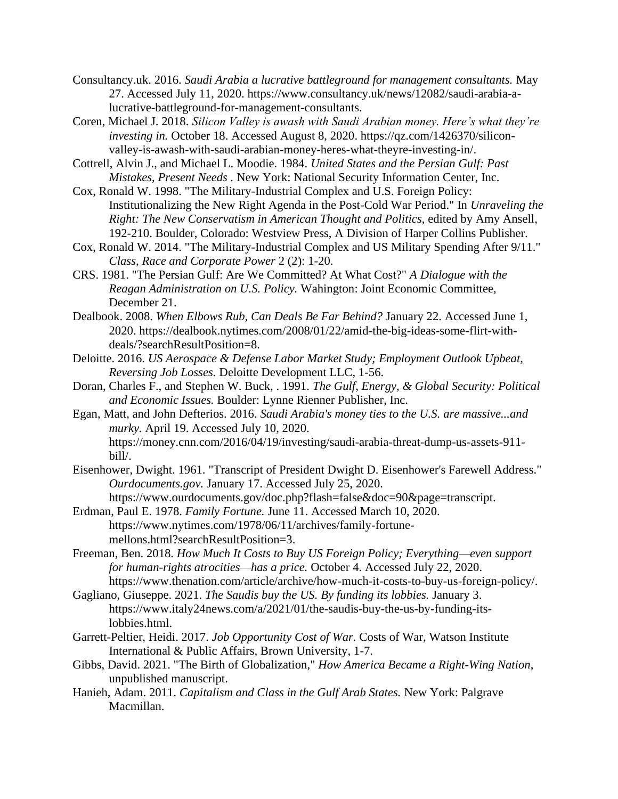- Consultancy.uk. 2016. *Saudi Arabia a lucrative battleground for management consultants.* May 27. Accessed July 11, 2020. https://www.consultancy.uk/news/12082/saudi-arabia-alucrative-battleground-for-management-consultants.
- Coren, Michael J. 2018. *Silicon Valley is awash with Saudi Arabian money. Here's what they're investing in.* October 18. Accessed August 8, 2020. https://qz.com/1426370/siliconvalley-is-awash-with-saudi-arabian-money-heres-what-theyre-investing-in/.
- Cottrell, Alvin J., and Michael L. Moodie. 1984. *United States and the Persian Gulf: Past Mistakes, Present Needs .* New York: National Security Information Center, Inc.
- Cox, Ronald W. 1998. "The Military-Industrial Complex and U.S. Foreign Policy: Institutionalizing the New Right Agenda in the Post-Cold War Period." In *Unraveling the Right: The New Conservatism in American Thought and Politics*, edited by Amy Ansell, 192-210. Boulder, Colorado: Westview Press, A Division of Harper Collins Publisher.
- Cox, Ronald W. 2014. "The Military-Industrial Complex and US Military Spending After 9/11." *Class, Race and Corporate Power* 2 (2): 1-20.
- CRS. 1981. "The Persian Gulf: Are We Committed? At What Cost?" *A Dialogue with the Reagan Administration on U.S. Policy.* Wahington: Joint Economic Committee, December 21.
- Dealbook. 2008. *When Elbows Rub, Can Deals Be Far Behind?* January 22. Accessed June 1, 2020. https://dealbook.nytimes.com/2008/01/22/amid-the-big-ideas-some-flirt-withdeals/?searchResultPosition=8.
- Deloitte. 2016. *US Aerospace & Defense Labor Market Study; Employment Outlook Upbeat, Reversing Job Losses.* Deloitte Development LLC, 1-56.
- Doran, Charles F., and Stephen W. Buck, . 1991. *The Gulf, Energy, & Global Security: Political and Economic Issues.* Boulder: Lynne Rienner Publisher, Inc.
- Egan, Matt, and John Defterios. 2016. *Saudi Arabia's money ties to the U.S. are massive...and murky.* April 19. Accessed July 10, 2020. https://money.cnn.com/2016/04/19/investing/saudi-arabia-threat-dump-us-assets-911 bill/.
- Eisenhower, Dwight. 1961. "Transcript of President Dwight D. Eisenhower's Farewell Address." *Ourdocuments.gov.* January 17. Accessed July 25, 2020. https://www.ourdocuments.gov/doc.php?flash=false&doc=90&page=transcript.
- Erdman, Paul E. 1978. *Family Fortune.* June 11. Accessed March 10, 2020. https://www.nytimes.com/1978/06/11/archives/family-fortunemellons.html?searchResultPosition=3.
- Freeman, Ben. 2018. *How Much It Costs to Buy US Foreign Policy; Everything—even support for human-rights atrocities—has a price.* October 4. Accessed July 22, 2020. https://www.thenation.com/article/archive/how-much-it-costs-to-buy-us-foreign-policy/.
- Gagliano, Giuseppe. 2021. *The Saudis buy the US. By funding its lobbies.* January 3. https://www.italy24news.com/a/2021/01/the-saudis-buy-the-us-by-funding-itslobbies.html.
- Garrett-Peltier, Heidi. 2017. *Job Opportunity Cost of War.* Costs of War, Watson Institute International & Public Affairs, Brown University, 1-7.
- Gibbs, David. 2021. "The Birth of Globalization," *How America Became a Right-Wing Nation*, unpublished manuscript.
- Hanieh, Adam. 2011. *Capitalism and Class in the Gulf Arab States.* New York: Palgrave Macmillan.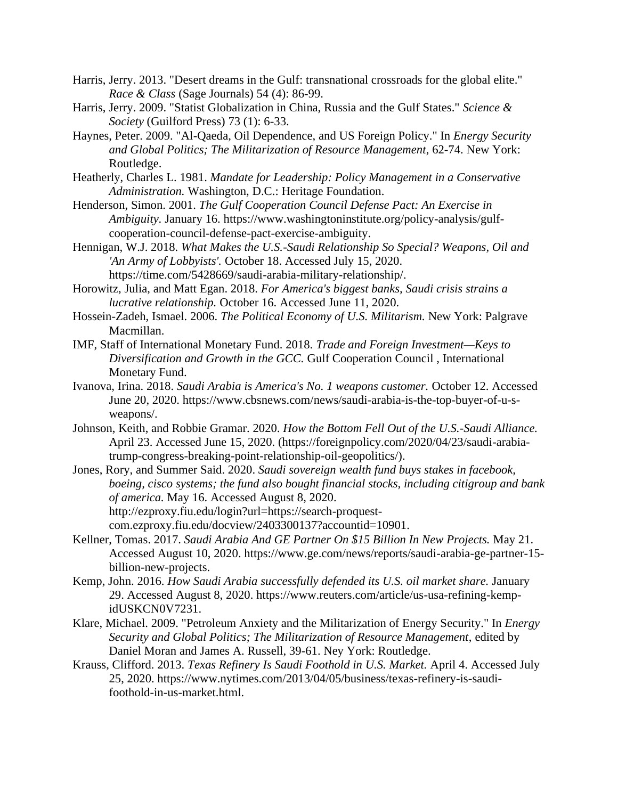- Harris, Jerry. 2013. "Desert dreams in the Gulf: transnational crossroads for the global elite." *Race & Class* (Sage Journals) 54 (4): 86-99.
- Harris, Jerry. 2009. "Statist Globalization in China, Russia and the Gulf States." *Science & Society* (Guilford Press) 73 (1): 6-33.
- Haynes, Peter. 2009. "Al-Qaeda, Oil Dependence, and US Foreign Policy." In *Energy Security and Global Politics; The Militarization of Resource Management*, 62-74. New York: Routledge.
- Heatherly, Charles L. 1981. *Mandate for Leadership: Policy Management in a Conservative Administration.* Washington, D.C.: Heritage Foundation.
- Henderson, Simon. 2001. *The Gulf Cooperation Council Defense Pact: An Exercise in Ambiguity.* January 16. https://www.washingtoninstitute.org/policy-analysis/gulfcooperation-council-defense-pact-exercise-ambiguity.
- Hennigan, W.J. 2018. *What Makes the U.S.-Saudi Relationship So Special? Weapons, Oil and 'An Army of Lobbyists'.* October 18. Accessed July 15, 2020. https://time.com/5428669/saudi-arabia-military-relationship/.
- Horowitz, Julia, and Matt Egan. 2018. *For America's biggest banks, Saudi crisis strains a lucrative relationship.* October 16. Accessed June 11, 2020.
- Hossein-Zadeh, Ismael. 2006. *The Political Economy of U.S. Militarism.* New York: Palgrave Macmillan.
- IMF, Staff of International Monetary Fund. 2018. *Trade and Foreign Investment—Keys to Diversification and Growth in the GCC.* Gulf Cooperation Council , International Monetary Fund.
- Ivanova, Irina. 2018. *Saudi Arabia is America's No. 1 weapons customer.* October 12. Accessed June 20, 2020. https://www.cbsnews.com/news/saudi-arabia-is-the-top-buyer-of-u-sweapons/.
- Johnson, Keith, and Robbie Gramar. 2020. *How the Bottom Fell Out of the U.S.-Saudi Alliance.* April 23. Accessed June 15, 2020. (https://foreignpolicy.com/2020/04/23/saudi-arabiatrump-congress-breaking-point-relationship-oil-geopolitics/).
- Jones, Rory, and Summer Said. 2020. *Saudi sovereign wealth fund buys stakes in facebook, boeing, cisco systems; the fund also bought financial stocks, including citigroup and bank of america.* May 16. Accessed August 8, 2020. http://ezproxy.fiu.edu/login?url=https://search-proquestcom.ezproxy.fiu.edu/docview/2403300137?accountid=10901.
- Kellner, Tomas. 2017. *Saudi Arabia And GE Partner On \$15 Billion In New Projects.* May 21. Accessed August 10, 2020. https://www.ge.com/news/reports/saudi-arabia-ge-partner-15 billion-new-projects.
- Kemp, John. 2016. *How Saudi Arabia successfully defended its U.S. oil market share.* January 29. Accessed August 8, 2020. https://www.reuters.com/article/us-usa-refining-kempidUSKCN0V7231.
- Klare, Michael. 2009. "Petroleum Anxiety and the Militarization of Energy Security." In *Energy Security and Global Politics; The Militarization of Resource Management*, edited by Daniel Moran and James A. Russell, 39-61. Ney York: Routledge.
- Krauss, Clifford. 2013. *Texas Refinery Is Saudi Foothold in U.S. Market.* April 4. Accessed July 25, 2020. https://www.nytimes.com/2013/04/05/business/texas-refinery-is-saudifoothold-in-us-market.html.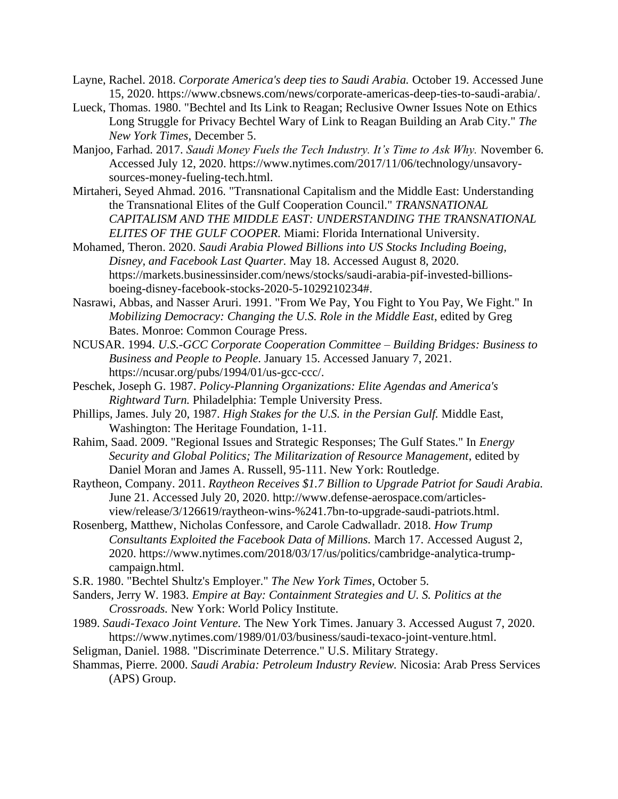- Layne, Rachel. 2018. *Corporate America's deep ties to Saudi Arabia.* October 19. Accessed June 15, 2020. https://www.cbsnews.com/news/corporate-americas-deep-ties-to-saudi-arabia/.
- Lueck, Thomas. 1980. "Bechtel and Its Link to Reagan; Reclusive Owner Issues Note on Ethics Long Struggle for Privacy Bechtel Wary of Link to Reagan Building an Arab City." *The New York Times*, December 5.
- Manjoo, Farhad. 2017. *Saudi Money Fuels the Tech Industry. It's Time to Ask Why.* November 6. Accessed July 12, 2020. https://www.nytimes.com/2017/11/06/technology/unsavorysources-money-fueling-tech.html.
- Mirtaheri, Seyed Ahmad. 2016. "Transnational Capitalism and the Middle East: Understanding the Transnational Elites of the Gulf Cooperation Council." *TRANSNATIONAL CAPITALISM AND THE MIDDLE EAST: UNDERSTANDING THE TRANSNATIONAL ELITES OF THE GULF COOPER.* Miami: Florida International University.
- Mohamed, Theron. 2020. *Saudi Arabia Plowed Billions into US Stocks Including Boeing, Disney, and Facebook Last Quarter.* May 18. Accessed August 8, 2020. https://markets.businessinsider.com/news/stocks/saudi-arabia-pif-invested-billionsboeing-disney-facebook-stocks-2020-5-1029210234#.
- Nasrawi, Abbas, and Nasser Aruri. 1991. "From We Pay, You Fight to You Pay, We Fight." In *Mobilizing Democracy: Changing the U.S. Role in the Middle East*, edited by Greg Bates. Monroe: Common Courage Press.
- NCUSAR. 1994. *U.S.-GCC Corporate Cooperation Committee – Building Bridges: Business to Business and People to People.* January 15. Accessed January 7, 2021. https://ncusar.org/pubs/1994/01/us-gcc-ccc/.
- Peschek, Joseph G. 1987. *Policy-Planning Organizations: Elite Agendas and America's Rightward Turn.* Philadelphia: Temple University Press.
- Phillips, James. July 20, 1987. *High Stakes for the U.S. in the Persian Gulf.* Middle East, Washington: The Heritage Foundation, 1-11.
- Rahim, Saad. 2009. "Regional Issues and Strategic Responses; The Gulf States." In *Energy Security and Global Politics; The Militarization of Resource Management*, edited by Daniel Moran and James A. Russell, 95-111. New York: Routledge.
- Raytheon, Company. 2011. *Raytheon Receives \$1.7 Billion to Upgrade Patriot for Saudi Arabia.* June 21. Accessed July 20, 2020. http://www.defense-aerospace.com/articlesview/release/3/126619/raytheon-wins-%241.7bn-to-upgrade-saudi-patriots.html.
- Rosenberg, Matthew, Nicholas Confessore, and Carole Cadwalladr. 2018. *How Trump Consultants Exploited the Facebook Data of Millions.* March 17. Accessed August 2, 2020. https://www.nytimes.com/2018/03/17/us/politics/cambridge-analytica-trumpcampaign.html.
- S.R. 1980. "Bechtel Shultz's Employer." *The New York Times*, October 5.
- Sanders, Jerry W. 1983. *Empire at Bay: Containment Strategies and U. S. Politics at the Crossroads.* New York: World Policy Institute.
- 1989. *Saudi-Texaco Joint Venture.* The New York Times. January 3. Accessed August 7, 2020. https://www.nytimes.com/1989/01/03/business/saudi-texaco-joint-venture.html.
- Seligman, Daniel. 1988. "Discriminate Deterrence." U.S. Military Strategy.
- Shammas, Pierre. 2000. *Saudi Arabia: Petroleum Industry Review.* Nicosia: Arab Press Services (APS) Group.